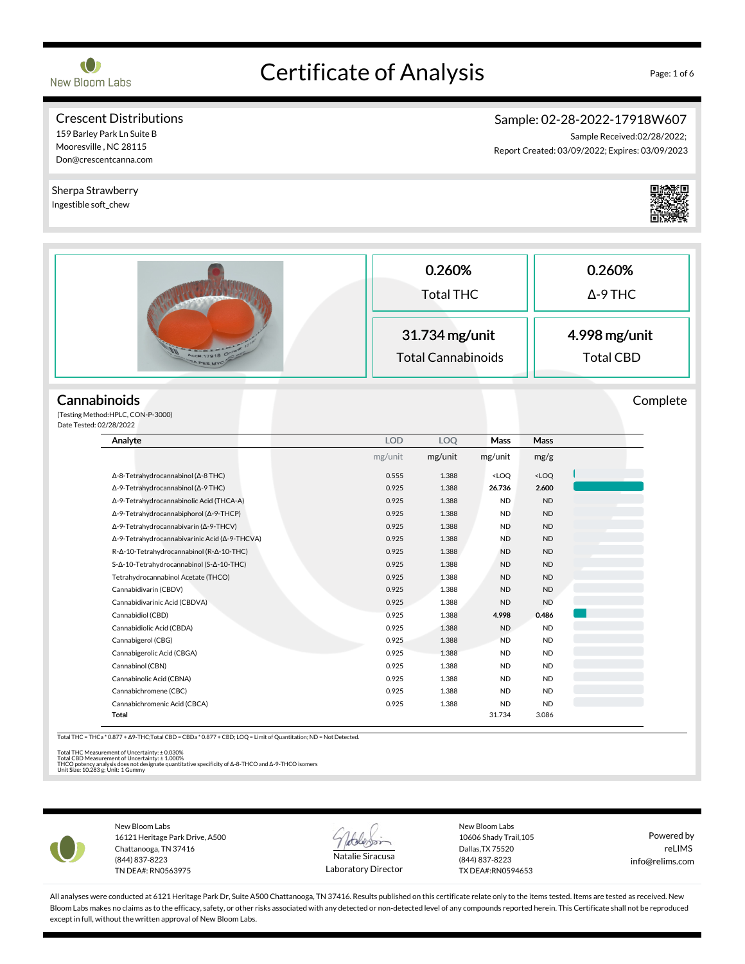

Mooresville , NC 28115 Don@crescentcanna.com

# Certificate of Analysis Page: 1 of 6

#### Crescent Distributions 159 Barley Park Ln Suite B

### Sample: 02-28-2022-17918W607

Sample Received:02/28/2022; Report Created: 03/09/2022; Expires: 03/09/2023

0.260% Total THC 0.260% Δ-9 THC 31.734 mg/unit Total Cannabinoids 4.998 mg/unit Total CBD **Cannabinoids** (Testing Method:HPLC, CON-P-3000) Date Tested: 02/28/2022 Complete Analyte LOD LOQ Mass Mass mg/unit mg/unit mg/unit mg/g Δ-8-Tetrahydrocannabinol (Δ-8 THC) 0.555 1.388 <LOQ <LOQ Δ-9-Tetrahydrocannabinol (Δ-9 THC) 0.925 1.388 26.736 2.600 Δ-9-Tetrahydrocannabinolic Acid (THCA-A) 0.925 1.388 ND ND Δ-9-Tetrahydrocannabiphorol (Δ-9-THCP) 0.925 1.388 ND ND Δ-9-Tetrahydrocannabivarin (Δ-9-THCV) 0.925 1.388 ND ND Δ-9-Tetrahydrocannabivarinic Acid (Δ-9-THCVA) 0.925 1.388 ND ND R-Δ-10-Tetrahydrocannabinol (R-Δ-10-THC) 0.925 1.388 ND ND ND S-Δ-10-Tetrahydrocannabinol (S-Δ-10-THC) 0.925 1.388 ND ND ND Tetrahydrocannabinol Acetate (THCO) 0.925 1.388 ND ND Cannabidivarin (CBDV) 0.925 1.388 ND ND Cannabidivarinic Acid (CBDVA) 0.925 1.388 ND ND Cannabidiol (CBD) 0.925 1.388 4.998 0.486 Cannabidiolic Acid (CBDA) 0.925 1.388 ND ND Cannabigerol (CBG) 0.925 1.388 ND ND Cannabigerolic Acid (CBGA) 0.925 1.388 ND ND Cannabinol (CBN) 0.925 1.388 ND ND Cannabinolic Acid (CBNA) 0.925 1.388 ND ND Cannabichromene (CBC) 0.925 1.388 ND ND Cannabichromenic Acid (CBCA) 0.925 1.388 ND ND Total 31.734 3.086 Sherpa Strawberry Ingestible soft\_chew

Total THC = THCa \* 0.877 + Δ9-THC;Total CBD = CBDa \* 0.877 + CBD; LOQ = Limit of Quantitation; ND = Not Detected.

Total THC Measurement of Uncertainty: ± 0.030%<br>Total CBD Measurement of Uncertainty: ± 1.000%<br>THCO potency analysis does not designate quantitative specificity of Δ-8-THCO and Δ-9-THCO isomers<br>Unit Size: 10.283 g; Unit: 1



New Bloom Labs 16121 Heritage Park Drive, A500 Chattanooga, TN 37416 (844) 837-8223 TN DEA#: RN0563975



Laboratory Director

New Bloom Labs 10606 Shady Trail,105 Dallas,TX 75520 (844) 837-8223 TX DEA#:RN0594653

Powered by reLIMS info@relims.com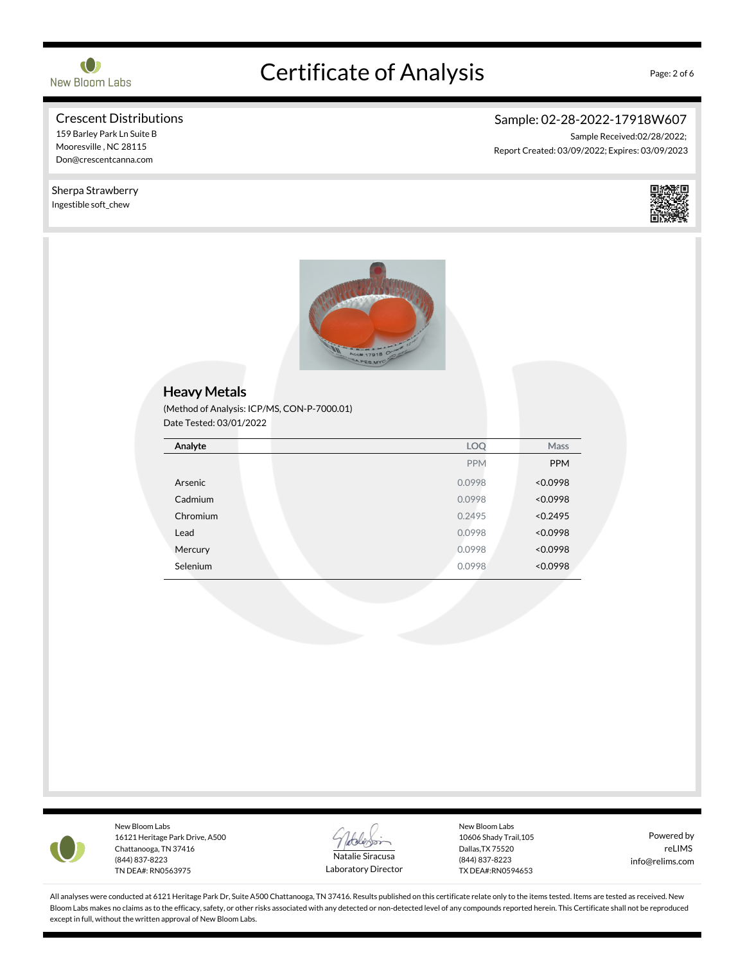

# Certificate of Analysis Page: 2 of 6

Sample: 02-28-2022-17918W607

Report Created: 03/09/2022; Expires: 03/09/2023

Sample Received:02/28/2022;

### Crescent Distributions

# 159 Barley Park Ln Suite B

Mooresville , NC 28115 Don@crescentcanna.com

#### Sherpa Strawberry Ingestible soft\_chew







New Bloom Labs 16121 Heritage Park Drive, A500 Chattanooga, TN 37416 (844) 837-8223 TN DEA#: RN0563975



Laboratory Director

New Bloom Labs 10606 Shady Trail,105 Dallas,TX 75520 (844) 837-8223 TX DEA#:RN0594653

Powered by reLIMS info@relims.com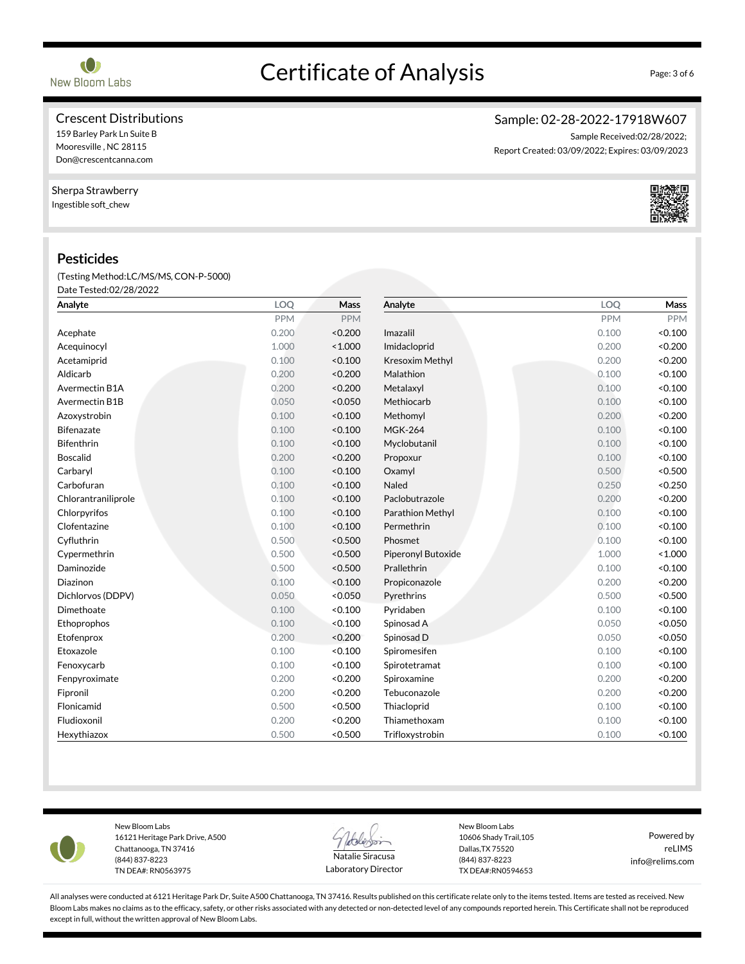# Certificate of Analysis Page: 3 of 6

#### Crescent Distributions

### 159 Barley Park Ln Suite B

Mooresville , NC 28115 Don@crescentcanna.com

#### Sherpa Strawberry

Ingestible soft\_chew

#### Pesticides

(Testing Method:LC/MS/MS,CON-P-5000) Date Tested:02/28/2022

| Analyte             | LOQ        | Mass       | Analyte            | LOQ        | Mass       |
|---------------------|------------|------------|--------------------|------------|------------|
|                     | <b>PPM</b> | <b>PPM</b> |                    | <b>PPM</b> | <b>PPM</b> |
| Acephate            | 0.200      | < 0.200    | Imazalil           | 0.100      | < 0.100    |
| Acequinocyl         | 1.000      | < 1.000    | Imidacloprid       | 0.200      | < 0.200    |
| Acetamiprid         | 0.100      | < 0.100    | Kresoxim Methyl    | 0.200      | < 0.200    |
| Aldicarb            | 0.200      | < 0.200    | Malathion          | 0.100      | < 0.100    |
| Avermectin B1A      | 0.200      | < 0.200    | Metalaxyl          | 0.100      | < 0.100    |
| Avermectin B1B      | 0.050      | < 0.050    | Methiocarb         | 0.100      | < 0.100    |
| Azoxystrobin        | 0.100      | < 0.100    | Methomyl           | 0.200      | < 0.200    |
| Bifenazate          | 0.100      | < 0.100    | <b>MGK-264</b>     | 0.100      | < 0.100    |
| <b>Bifenthrin</b>   | 0.100      | < 0.100    | Myclobutanil       | 0.100      | < 0.100    |
| <b>Boscalid</b>     | 0.200      | < 0.200    | Propoxur           | 0.100      | < 0.100    |
| Carbaryl            | 0.100      | < 0.100    | Oxamyl             | 0.500      | < 0.500    |
| Carbofuran          | 0.100      | < 0.100    | Naled              | 0.250      | < 0.250    |
| Chlorantraniliprole | 0.100      | < 0.100    | Paclobutrazole     | 0.200      | < 0.200    |
| Chlorpyrifos        | 0.100      | < 0.100    | Parathion Methyl   | 0.100      | < 0.100    |
| Clofentazine        | 0.100      | < 0.100    | Permethrin         | 0.100      | < 0.100    |
| Cyfluthrin          | 0.500      | < 0.500    | Phosmet            | 0.100      | < 0.100    |
| Cypermethrin        | 0.500      | < 0.500    | Piperonyl Butoxide | 1.000      | < 1.000    |
| Daminozide          | 0.500      | < 0.500    | Prallethrin        | 0.100      | < 0.100    |
| Diazinon            | 0.100      | < 0.100    | Propiconazole      | 0.200      | < 0.200    |
| Dichlorvos (DDPV)   | 0.050      | < 0.050    | Pyrethrins         | 0.500      | < 0.500    |
| Dimethoate          | 0.100      | < 0.100    | Pyridaben          | 0.100      | < 0.100    |
| Ethoprophos         | 0.100      | < 0.100    | Spinosad A         | 0.050      | < 0.050    |
| Etofenprox          | 0.200      | < 0.200    | Spinosad D         | 0.050      | < 0.050    |
| Etoxazole           | 0.100      | < 0.100    | Spiromesifen       | 0.100      | < 0.100    |
| Fenoxycarb          | 0.100      | < 0.100    | Spirotetramat      | 0.100      | < 0.100    |
| Fenpyroximate       | 0.200      | < 0.200    | Spiroxamine        | 0.200      | < 0.200    |
| Fipronil            | 0.200      | < 0.200    | Tebuconazole       | 0.200      | < 0.200    |
| Flonicamid          | 0.500      | < 0.500    | Thiacloprid        | 0.100      | < 0.100    |
| Fludioxonil         | 0.200      | < 0.200    | Thiamethoxam       | 0.100      | < 0.100    |
| Hexythiazox         | 0.500      | < 0.500    | Trifloxystrobin    | 0.100      | < 0.100    |



New Bloom Labs 16121 Heritage Park Drive, A500 Chattanooga, TN 37416 (844) 837-8223 TN DEA#: RN0563975



Laboratory Director

New Bloom Labs 10606 Shady Trail,105 Dallas,TX 75520 (844) 837-8223 TX DEA#:RN0594653

Powered by reLIMS info@relims.com

All analyses were conducted at 6121 Heritage Park Dr, Suite A500 Chattanooga, TN 37416. Results published on this certificate relate only to the items tested. Items are tested as received. New Bloom Labs makes no claims as to the efficacy, safety, or other risks associated with any detected or non-detected level of any compounds reported herein. This Certificate shall not be reproduced except in full, without the written approval of New Bloom Labs.

#### Sample: 02-28-2022-17918W607 Sample Received:02/28/2022;

Report Created: 03/09/2022; Expires: 03/09/2023

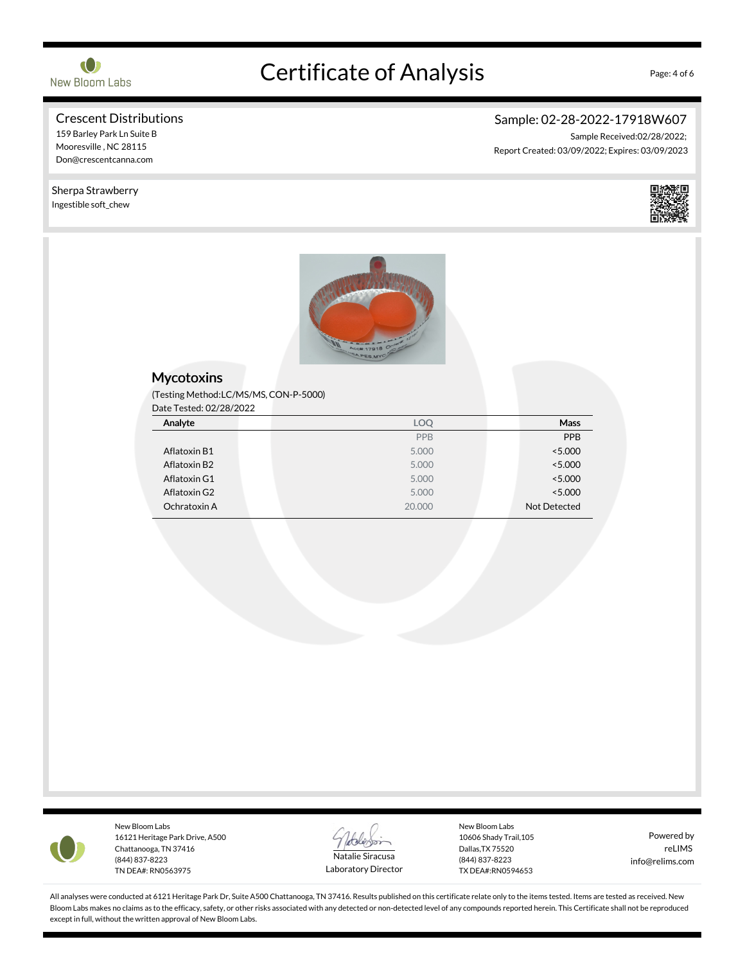

# Certificate of Analysis Page: 4 of 6

### Crescent Distributions

## 159 Barley Park Ln Suite B

Mooresville , NC 28115 Don@crescentcanna.com

#### Sherpa Strawberry Ingestible soft\_chew



Sample: 02-28-2022-17918W607

Report Created: 03/09/2022; Expires: 03/09/2023

Sample Received:02/28/2022;



#### **Mycotoxins**

(Testing Method:LC/MS/MS,CON-P-5000)

Date Tested: 02/28/2022

| Analyte      | LOQ        | Mass         |
|--------------|------------|--------------|
|              | <b>PPB</b> | PPB          |
| Aflatoxin B1 | 5.000      | < 5.000      |
| Aflatoxin B2 | 5.000      | < 5.000      |
| Aflatoxin G1 | 5.000      | < 5.000      |
| Aflatoxin G2 | 5.000      | < 5.000      |
| Ochratoxin A | 20,000     | Not Detected |



New Bloom Labs 16121 Heritage Park Drive, A500 Chattanooga, TN 37416 (844) 837-8223 TN DEA#: RN0563975



Laboratory Director

New Bloom Labs 10606 Shady Trail,105 Dallas,TX 75520 (844) 837-8223 TX DEA#:RN0594653

Powered by reLIMS info@relims.com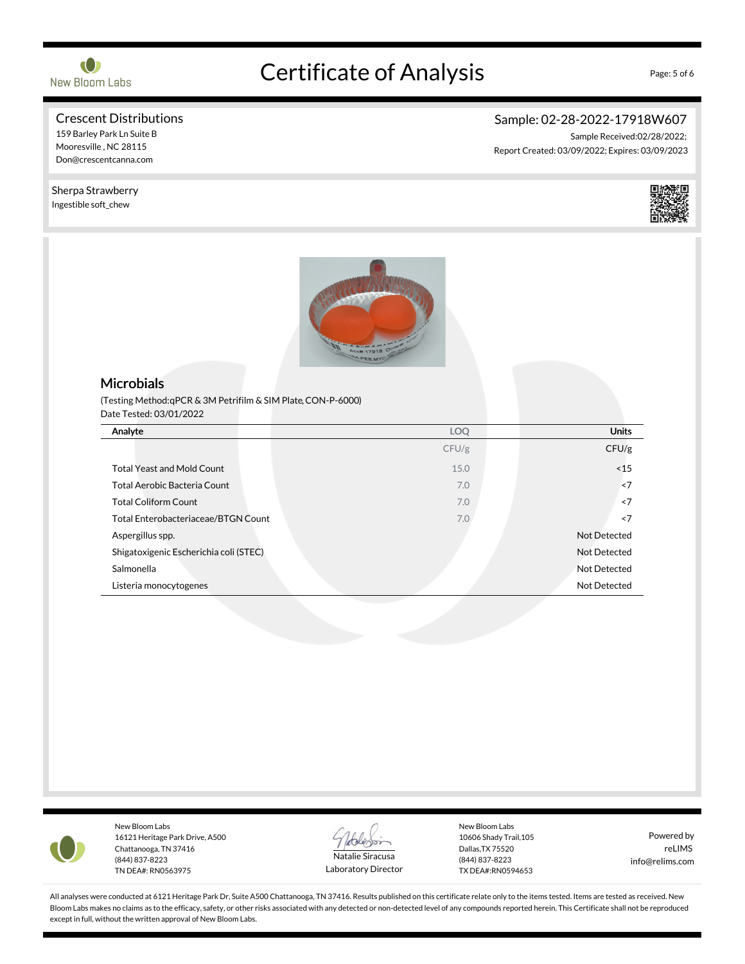

# Certificate of Analysis Page: 5 of 6

### Crescent Distributions

159 Barley Park Ln Suite B

Mooresville , NC 28115 Don@crescentcanna.com

Sherpa Strawberry Ingestible soft\_chew

Sample: 02-28-2022-17918W607

Sample Received:02/28/2022; Report Created: 03/09/2022; Expires: 03/09/2023



#### **Microbials**

(Testing Method:qPCR & 3M Petrifilm & SIM Plate,CON-P-6000) Date Tested: 03/01/2022

| Analyte                                    | <b>LOQ</b> | <b>Units</b>        |
|--------------------------------------------|------------|---------------------|
|                                            | CFU/g      | CFU/g               |
| <b>Total Yeast and Mold Count</b>          | 15.0       | ~15                 |
| Total Aerobic Bacteria Count               | 7.0        | < 7                 |
| <b>Total Coliform Count</b>                | 7.0        | ~5                  |
| <b>Total Enterobacteriaceae/BTGN Count</b> | 7.0        | ~5                  |
| Aspergillus spp.                           |            | Not Detected        |
| Shigatoxigenic Escherichia coli (STEC)     |            | Not Detected        |
| Salmonella                                 |            | <b>Not Detected</b> |
| Listeria monocytogenes                     |            | Not Detected        |



New Bloom Labs 16121 Heritage Park Drive, A500 Chattanooga, TN 37416 (844) 837-8223 TN DEA#: RN0563975



Laboratory Director

New Bloom Labs 10606 Shady Trail,105 Dallas,TX 75520 (844) 837-8223 TX DEA#:RN0594653

Powered by reLIMS info@relims.com